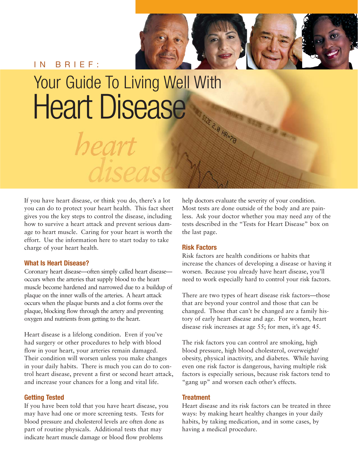IN BRIEF:

## Your Guide To Living Well With Heart Disease

If you have heart disease, or think you do, there's a lot you can do to protect your heart health. This fact sheet gives you the key steps to control the disease, including how to survive a heart attack and prevent serious damage to heart muscle. Caring for your heart is worth the effort. Use the information here to start today to take charge of your heart health.

reart

#### **What Is Heart Disease?**

Coronary heart disease—often simply called heart disease occurs when the arteries that supply blood to the heart muscle become hardened and narrowed due to a buildup of plaque on the inner walls of the arteries. A heart attack occurs when the plaque bursts and a clot forms over the plaque, blocking flow through the artery and preventing oxygen and nutrients from getting to the heart.

Heart disease is a lifelong condition. Even if you've had surgery or other procedures to help with blood flow in your heart, your arteries remain damaged. Their condition will worsen unless you make changes in your daily habits. There is much you can do to control heart disease, prevent a first or second heart attack, and increase your chances for a long and vital life.

#### **Getting Tested**

If you have been told that you have heart disease, you may have had one or more screening tests. Tests for blood pressure and cholesterol levels are often done as part of routine physicals. Additional tests that may indicate heart muscle damage or blood flow problems

help doctors evaluate the severity of your condition. Most tests are done outside of the body and are painless. Ask your doctor whether you may need any of the tests described in the "Tests for Heart Disease" box on the last page.

#### **Risk Factors**

Risk factors are health conditions or habits that increase the chances of developing a disease or having it worsen. Because you already have heart disease, you'll need to work especially hard to control your risk factors.

There are two types of heart disease risk factors—those that are beyond your control and those that can be changed. Those that can't be changed are a family history of early heart disease and age. For women, heart disease risk increases at age 55; for men, it's age 45.

The risk factors you can control are smoking, high blood pressure, high blood cholesterol, overweight/ obesity, physical inactivity, and diabetes. While having even one risk factor is dangerous, having multiple risk factors is especially serious, because risk factors tend to "gang up" and worsen each other's effects.

#### **Treatment**

Heart disease and its risk factors can be treated in three ways: by making heart healthy changes in your daily habits, by taking medication, and in some cases, by having a medical procedure.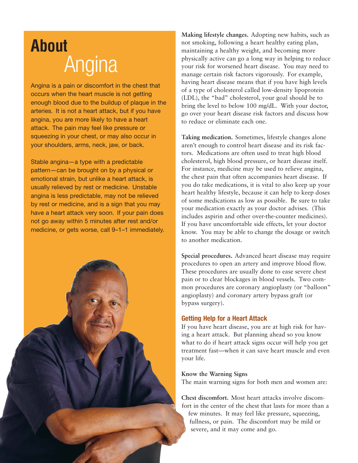### **About** Angina

Angina is a pain or discomfort in the chest that occurs when the heart muscle is not getting enough blood due to the buildup of plaque in the arteries. It is not a heart attack, but if you have angina, you are more likely to have a heart attack. The pain may feel like pressure or squeezing in your chest, or may also occur in your shoulders, arms, neck, jaw, or back.

Stable angina—a type with a predictable pattern—can be brought on by a physical or emotional strain, but unlike a heart attack, is usually relieved by rest or medicine. Unstable angina is less predictable, may not be relieved by rest or medicine, and is a sign that you may have a heart attack very soon. If your pain does not go away within 5 minutes after rest and/or medicine, or gets worse, call 9–1–1 immediately.



**Making lifestyle changes.** Adopting new habits, such as not smoking, following a heart healthy eating plan, maintaining a healthy weight, and becoming more physically active can go a long way in helping to reduce your risk for worsened heart disease. You may need to manage certain risk factors vigorously. For example, having heart disease means that if you have high levels of a type of cholesterol called low-density lipoprotein (LDL), the "bad" cholesterol, your goal should be to bring the level to below 100 mg/dL. With your doctor, go over your heart disease risk factors and discuss how to reduce or eliminate each one.

**Taking medication.** Sometimes, lifestyle changes alone aren't enough to control heart disease and its risk factors. Medications are often used to treat high blood cholesterol, high blood pressure, or heart disease itself. For instance, medicine may be used to relieve angina, the chest pain that often accompanies heart disease. If you do take medications, it is vital to also keep up your heart healthy lifestyle, because it can help to keep doses of some medications as low as possible. Be sure to take your medication exactly as your doctor advises. (This includes aspirin and other over-the-counter medicines). If you have uncomfortable side effects, let your doctor know. You may be able to change the dosage or switch to another medication.

**Special procedures.** Advanced heart disease may require procedures to open an artery and improve blood flow. These procedures are usually done to ease severe chest pain or to clear blockages in blood vessels. Two common procedures are coronary angioplasty (or "balloon" angioplasty) and coronary artery bypass graft (or bypass surgery).

#### **Getting Help for a Heart Attack**

If you have heart disease, you are at high risk for having a heart attack. But planning ahead so you know what to do if heart attack signs occur will help you get treatment fast—when it can save heart muscle and even your life.

#### **Know the Warning Signs**

The main warning signs for both men and women are:

**Chest discomfort.** Most heart attacks involve discomfort in the center of the chest that lasts for more than a few minutes. It may feel like pressure, squeezing, fullness, or pain. The discomfort may be mild or severe, and it may come and go.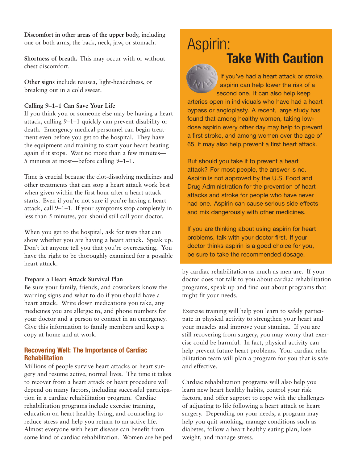**Discomfort in other areas of the upper body,** including one or both arms, the back, neck, jaw, or stomach.

**Shortness of breath.** This may occur with or without chest discomfort.

**Other signs** include nausea, light-headedness, or breaking out in a cold sweat.

#### **Calling 9–1–1 Can Save Your Life**

If you think you or someone else may be having a heart attack, calling 9–1–1 quickly can prevent disability or death. Emergency medical personnel can begin treatment even before you get to the hospital. They have the equipment and training to start your heart beating again if it stops. Wait no more than a few minutes— 5 minutes at most—before calling 9–1–1.

Time is crucial because the clot-dissolving medicines and other treatments that can stop a heart attack work best when given within the first hour after a heart attack starts. Even if you're not sure if you're having a heart attack, call 9–1–1. If your symptoms stop completely in less than 5 minutes, you should still call your doctor.

When you get to the hospital, ask for tests that can show whether you are having a heart attack. Speak up. Don't let anyone tell you that you're overreacting. You have the right to be thoroughly examined for a possible heart attack.

#### **Prepare a Heart Attack Survival Plan**

Be sure your family, friends, and coworkers know the warning signs and what to do if you should have a heart attack. Write down medications you take, any medicines you are allergic to, and phone numbers for your doctor and a person to contact in an emergency. Give this information to family members and keep a copy at home and at work.

#### **Recovering Well: The Importance of Cardiac Rehabilitation**

Millions of people survive heart attacks or heart surgery and resume active, normal lives. The time it takes to recover from a heart attack or heart procedure will depend on many factors, including successful participation in a cardiac rehabilitation program. Cardiac rehabilitation programs include exercise training, education on heart healthy living, and counseling to reduce stress and help you return to an active life. Almost everyone with heart disease can benefit from some kind of cardiac rehabilitation. Women are helped

### Aspirin: **Take With Caution**



If you've had a heart attack or stroke, aspirin can help lower the risk of a second one. It can also help keep

arteries open in individuals who have had a heart bypass or angioplasty. A recent, large study has found that among healthy women, taking lowdose aspirin every other day may help to prevent a first stroke, and among women over the age of 65, it may also help prevent a first heart attack.

But should you take it to prevent a heart attack? For most people, the answer is no. Aspirin is not approved by the U.S. Food and Drug Administration for the prevention of heart attacks and stroke for people who have never had one. Aspirin can cause serious side effects and mix dangerously with other medicines.

If you are thinking about using aspirin for heart problems, talk with your doctor first. If your doctor thinks aspirin is a good choice for you, be sure to take the recommended dosage.

by cardiac rehabilitation as much as men are. If your doctor does not talk to you about cardiac rehabilitation programs, speak up and find out about programs that might fit your needs.

Exercise training will help you learn to safely participate in physical activity to strengthen your heart and your muscles and improve your stamina. If you are still recovering from surgery, you may worry that exercise could be harmful. In fact, physical activity can help prevent future heart problems. Your cardiac rehabilitation team will plan a program for you that is safe and effective.

Cardiac rehabilitation programs will also help you learn new heart healthy habits, control your risk factors, and offer support to cope with the challenges of adjusting to life following a heart attack or heart surgery. Depending on your needs, a program may help you quit smoking, manage conditions such as diabetes, follow a heart healthy eating plan, lose weight, and manage stress.